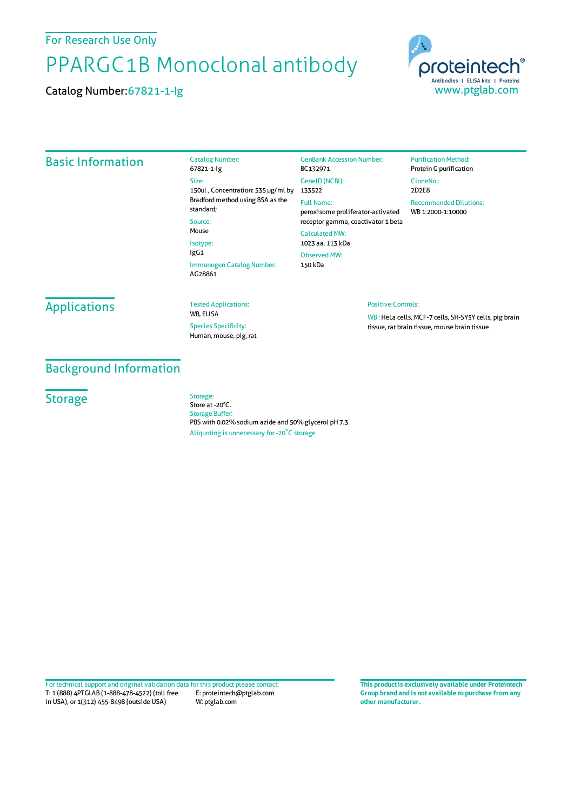For Research Use Only

# PPARGC1B Monoclonal antibody

Catalog Number:67821-1-Ig



### Basic Information

Catalog Number: 67821-1-Ig Size: 150ul , Concentration: 535 μg/ml by 133522 Bradford method using BSA asthe standard; Source: Mouse Isotype: IgG1 Immunogen Catalog Number: AG28861

GenBank Accession Number: BC132971 GeneID(NCBI): Full Name: peroxisome proliferator-activated receptor gamma, coactivator 1 beta CalculatedMW: 1023 aa, 113 kDa ObservedMW: 150 kDa

#### **Purification Method:** Protein G purification CloneNo.: 2D2E8 Recommended Dilutions: WB 1:2000-1:10000

# **Applications**

Tested Applications: WB, ELISA Species Specificity: Human, mouse, pig, rat

#### Positive Controls:

WB : HeLa cells, MCF-7 cells, SH-SY5Y cells, pig brain tissue, rat brain tissue, mouse brain tissue

## Background Information

**Storage** 

Storage: Store at -20°C. Storage Buffer: PBS with 0.02% sodium azide and 50% glycerol pH 7.3. Aliquoting is unnecessary for -20<sup>°</sup>C storage

T: 1 (888) 4PTGLAB (1-888-478-4522) (toll free in USA), or 1(312) 455-8498 (outside USA) E: proteintech@ptglab.com W: ptglab.com Fortechnical support and original validation data forthis product please contact: **This productis exclusively available under Proteintech**

**Group brand and is not available to purchase from any other manufacturer.**